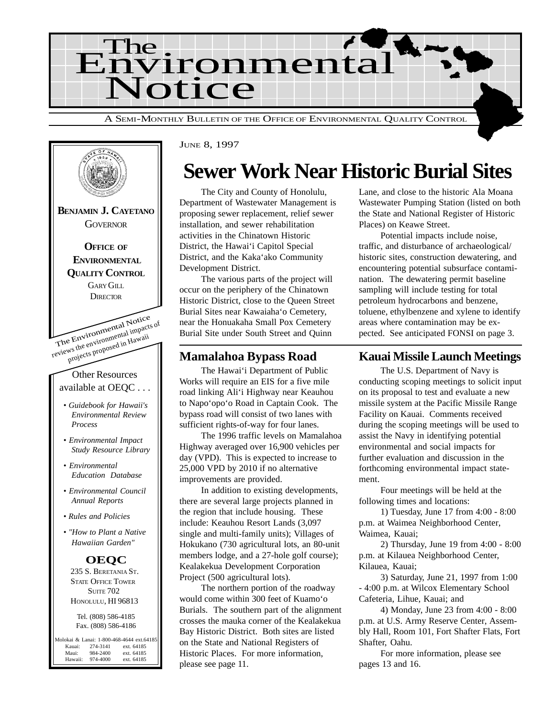



JUNE 8, 1997

### **Sewer Work Near Historic Burial Sites**

The City and County of Honolulu, Department of Wastewater Management is proposing sewer replacement, relief sewer installation, and sewer rehabilitation activities in the Chinatown Historic District, the Hawai'i Capitol Special District, and the Kaka'ako Community Development District.

The various parts of the project will occur on the periphery of the Chinatown Historic District, close to the Queen Street Burial Sites near Kawaiaha'o Cemetery, near the Honuakaha Small Pox Cemetery Burial Site under South Street and Quinn

#### **Mamalahoa Bypass Road**

The Hawai'i Department of Public Works will require an EIS for a five mile road linking Ali'i Highway near Keauhou to Napo'opo'o Road in Captain Cook. The bypass road will consist of two lanes with sufficient rights-of-way for four lanes.

The 1996 traffic levels on Mamalahoa Highway averaged over 16,900 vehicles per day (VPD). This is expected to increase to 25,000 VPD by 2010 if no alternative improvements are provided.

In addition to existing developments, there are several large projects planned in the region that include housing. These include: Keauhou Resort Lands (3,097 single and multi-family units); Villages of Hokukano (730 agricultural lots, an 80-unit members lodge, and a 27-hole golf course); Kealakekua Development Corporation Project (500 agricultural lots).

The northern portion of the roadway would come within 300 feet of Kuamo'o Burials. The southern part of the alignment crosses the mauka corner of the Kealakekua Bay Historic District. Both sites are listed on the State and National Registers of Historic Places. For more information, please see page 11.

Lane, and close to the historic Ala Moana Wastewater Pumping Station (listed on both the State and National Register of Historic Places) on Keawe Street.

Potential impacts include noise, traffic, and disturbance of archaeological/ historic sites, construction dewatering, and encountering potential subsurface contamination. The dewatering permit baseline sampling will include testing for total petroleum hydrocarbons and benzene, toluene, ethylbenzene and xylene to identify areas where contamination may be expected. See anticipated FONSI on page 3.

#### **Kauai Missile Launch Meetings**

The U.S. Department of Navy is conducting scoping meetings to solicit input on its proposal to test and evaluate a new missile system at the Pacific Missile Range Facility on Kauai. Comments received during the scoping meetings will be used to assist the Navy in identifying potential environmental and social impacts for further evaluation and discussion in the forthcoming environmental impact statement.

Four meetings will be held at the following times and locations:

1) Tuesday, June 17 from 4:00 - 8:00 p.m. at Waimea Neighborhood Center, Waimea, Kauai;

2) Thursday, June 19 from 4:00 - 8:00 p.m. at Kilauea Neighborhood Center, Kilauea, Kauai;

3) Saturday, June 21, 1997 from 1:00 - 4:00 p.m. at Wilcox Elementary School Cafeteria, Lihue, Kauai; and

4) Monday, June 23 from 4:00 - 8:00 p.m. at U.S. Army Reserve Center, Assembly Hall, Room 101, Fort Shafter Flats, Fort Shafter, Oahu.

For more information, please see pages 13 and 16.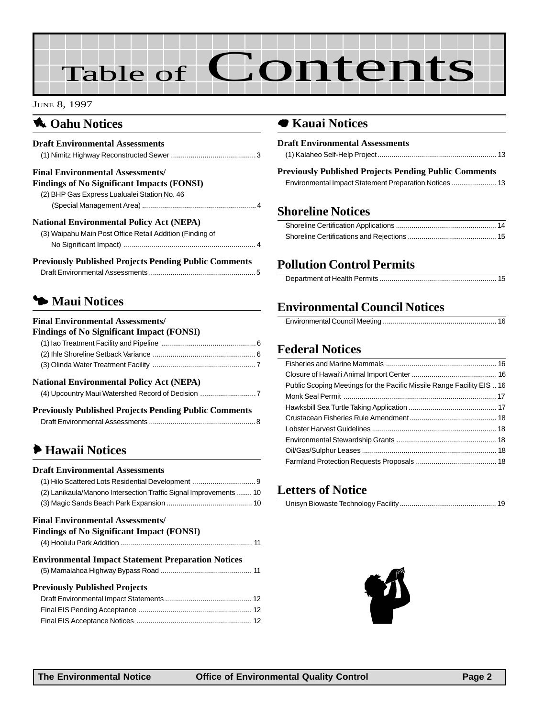# Table of Contents

JUNE 8, 1997

### **1** Oahu Notices

| <b>Draft Environmental Assessments</b>                       |
|--------------------------------------------------------------|
| <b>Final Environmental Assessments/</b>                      |
| Findings of No Significant Impacts (FONSI)                   |
| (2) BHP Gas Express Lualualei Station No. 46                 |
|                                                              |
| <b>National Environmental Policy Act (NEPA)</b>              |
| (3) Waipahu Main Post Office Retail Addition (Finding of     |
|                                                              |
| <b>Previously Published Projects Pending Public Comments</b> |

|  |  |  | $1.00001$ $\mu$ and $1.0000$ $\mu$ and $1.0000$ $\mu$ and $1.0000$ $\mu$ |  |
|--|--|--|--------------------------------------------------------------------------|--|
|  |  |  |                                                                          |  |

### 3 **Maui Notices**

| <b>Final Environmental Assessments/</b>         |  |
|-------------------------------------------------|--|
| Findings of No Significant Impact (FONSI)       |  |
|                                                 |  |
|                                                 |  |
|                                                 |  |
| <b>National Environmental Policy Act (NEPA)</b> |  |
|                                                 |  |
|                                                 |  |

| <b>Previously Published Projects Pending Public Comments</b> |  |
|--------------------------------------------------------------|--|
|                                                              |  |

### 6 **Hawaii Notices**

#### **Draft Environmental Assessments**

| (2) Lanikaula/Manono Intersection Traffic Signal Improvements  10                           |
|---------------------------------------------------------------------------------------------|
| <b>Final Environmental Assessments/</b><br><b>Findings of No Significant Impact (FONSI)</b> |
| <b>Environmental Impact Statement Preparation Notices</b>                                   |
|                                                                                             |
| <b>Previously Published Projects</b>                                                        |
|                                                                                             |
|                                                                                             |
|                                                                                             |

### 7 **[Kauai Notices](#page-12-0)**

| <b>Draft Environmental Assessments</b> |  |
|----------------------------------------|--|
|                                        |  |

| <b>Previously Published Projects Pending Public Comments</b> |  |
|--------------------------------------------------------------|--|
|                                                              |  |

### **Shoreline Notices**

### **Pollution Control Permits**

### **Environmental Council Notices**

### **Federal Notices**

| Public Scoping Meetings for the Pacific Missile Range Facility EIS  16 |
|------------------------------------------------------------------------|
|                                                                        |
|                                                                        |
|                                                                        |
|                                                                        |
|                                                                        |
|                                                                        |
|                                                                        |
|                                                                        |

### **Letters of Notice**

|--|--|--|--|

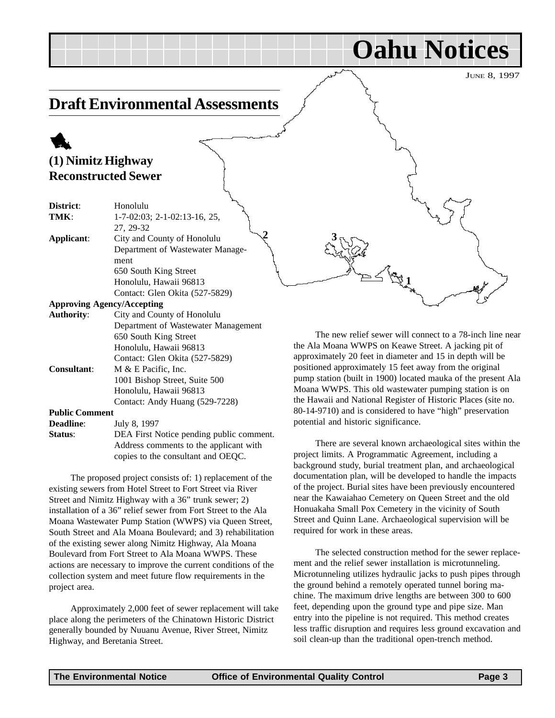#### JUNE 8, 1997

**Oahu Notices**

### <span id="page-2-0"></span>**Draft Environmental Assessments**

### 1 **(1) Nimitz Highway Reconstructed Sewer**

| District:          | Honolulu                              |
|--------------------|---------------------------------------|
| TMK:               | $1-7-02:03$ ; $2-1-02:13-16$ , $25$ , |
|                    | 27, 29-32                             |
| Applicant:         | City and County of Honolulu           |
|                    | Department of Wastewater Manage-      |
|                    | ment                                  |
|                    | 650 South King Street                 |
|                    | Honolulu, Hawaii 96813                |
|                    | Contact: Glen Okita (527-5829)        |
|                    | <b>Approving Agency/Accepting</b>     |
| <b>Authority:</b>  | City and County of Honolulu           |
|                    | Department of Wastewater Management   |
|                    | 650 South King Street                 |
|                    | Honolulu, Hawaii 96813                |
|                    | Contact: Glen Okita (527-5829)        |
| <b>Consultant:</b> | M & E Pacific, Inc.                   |
|                    | 1001 Bishop Street, Suite 500         |
|                    | Honolulu, Hawaii 96813                |

Contact: Andy Huang (529-7228)

#### **Public Comment**

| <b>Deadline:</b> | July 8, 1997                             |
|------------------|------------------------------------------|
| Status:          | DEA First Notice pending public comment. |
|                  | Address comments to the applicant with   |
|                  | copies to the consultant and OEQC.       |

The proposed project consists of: 1) replacement of the existing sewers from Hotel Street to Fort Street via River Street and Nimitz Highway with a 36" trunk sewer; 2) installation of a 36" relief sewer from Fort Street to the Ala Moana Wastewater Pump Station (WWPS) via Queen Street, South Street and Ala Moana Boulevard; and 3) rehabilitation of the existing sewer along Nimitz Highway, Ala Moana Boulevard from Fort Street to Ala Moana WWPS. These actions are necessary to improve the current conditions of the collection system and meet future flow requirements in the project area.

Approximately 2,000 feet of sewer replacement will take place along the perimeters of the Chinatown Historic District generally bounded by Nuuanu Avenue, River Street, Nimitz Highway, and Beretania Street.

The new relief sewer will connect to a 78-inch line near the Ala Moana WWPS on Keawe Street. A jacking pit of approximately 20 feet in diameter and 15 in depth will be positioned approximately 15 feet away from the original pump station (built in 1900) located mauka of the present Ala Moana WWPS. This old wastewater pumping station is on the Hawaii and National Register of Historic Places (site no. 80-14-9710) and is considered to have "high" preservation potential and historic significance.

**1**

There are several known archaeological sites within the project limits. A Programmatic Agreement, including a background study, burial treatment plan, and archaeological documentation plan, will be developed to handle the impacts of the project. Burial sites have been previously encountered near the Kawaiahao Cemetery on Queen Street and the old Honuakaha Small Pox Cemetery in the vicinity of South Street and Quinn Lane. Archaeological supervision will be required for work in these areas.

The selected construction method for the sewer replacement and the relief sewer installation is microtunneling. Microtunneling utilizes hydraulic jacks to push pipes through the ground behind a remotely operated tunnel boring machine. The maximum drive lengths are between 300 to 600 feet, depending upon the ground type and pipe size. Man entry into the pipeline is not required. This method creates less traffic disruption and requires less ground excavation and soil clean-up than the traditional open-trench method.

**2 3**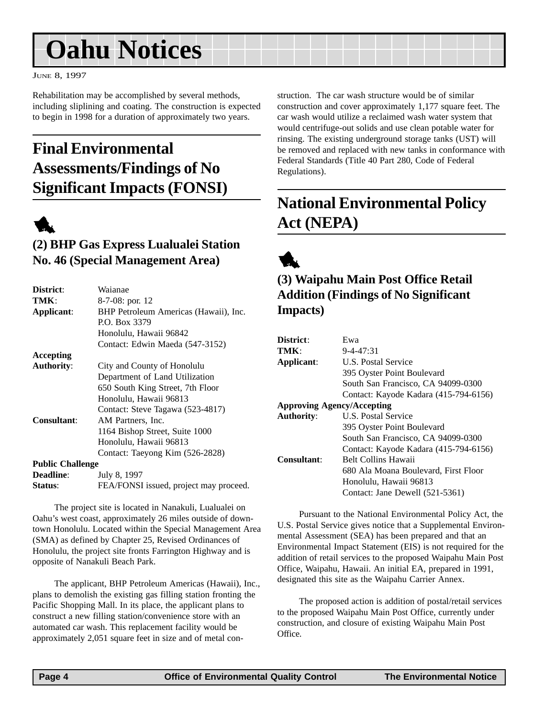## <span id="page-3-0"></span>**Oahu Notices**

#### JUNE 8, 1997

Rehabilitation may be accomplished by several methods, including sliplining and coating. The construction is expected to begin in 1998 for a duration of approximately two years.

### **Final Environmental Assessments/Findings of No Significant Impacts (FONSI)**

### 1

### **(2) BHP Gas Express Lualualei Station No. 46 (Special Management Area)**

| District:               | Waianae                                |
|-------------------------|----------------------------------------|
| TMK:                    | 8-7-08: por. 12                        |
| Applicant:              | BHP Petroleum Americas (Hawaii), Inc.  |
|                         | P.O. Box 3379                          |
|                         | Honolulu, Hawaii 96842                 |
|                         | Contact: Edwin Maeda (547-3152)        |
| <b>Accepting</b>        |                                        |
| <b>Authority:</b>       | City and County of Honolulu            |
|                         | Department of Land Utilization         |
|                         | 650 South King Street, 7th Floor       |
|                         | Honolulu, Hawaii 96813                 |
|                         | Contact: Steve Tagawa (523-4817)       |
| <b>Consultant:</b>      | AM Partners, Inc.                      |
|                         | 1164 Bishop Street, Suite 1000         |
|                         | Honolulu, Hawaii 96813                 |
|                         | Contact: Taeyong Kim (526-2828)        |
| <b>Public Challenge</b> |                                        |
| <b>Deadline:</b>        | July 8, 1997                           |
| Status:                 | FEA/FONSI issued, project may proceed. |

The project site is located in Nanakuli, Lualualei on Oahu's west coast, approximately 26 miles outside of downtown Honolulu. Located within the Special Management Area (SMA) as defined by Chapter 25, Revised Ordinances of Honolulu, the project site fronts Farrington Highway and is opposite of Nanakuli Beach Park.

The applicant, BHP Petroleum Americas (Hawaii), Inc., plans to demolish the existing gas filling station fronting the Pacific Shopping Mall. In its place, the applicant plans to construct a new filling station/convenience store with an automated car wash. This replacement facility would be approximately 2,051 square feet in size and of metal construction. The car wash structure would be of similar construction and cover approximately 1,177 square feet. The car wash would utilize a reclaimed wash water system that would centrifuge-out solids and use clean potable water for rinsing. The existing underground storage tanks (UST) will be removed and replaced with new tanks in conformance with Federal Standards (Title 40 Part 280, Code of Federal Regulations).

### **National Environmental Policy Act (NEPA)**



### **(3) Waipahu Main Post Office Retail Addition (Findings of No Significant Impacts)**

| District:                         | Ewa                                   |
|-----------------------------------|---------------------------------------|
| TMK:                              | $9 - 4 - 47:31$                       |
| Applicant:                        | <b>U.S. Postal Service</b>            |
|                                   | 395 Oyster Point Boulevard            |
|                                   | South San Francisco, CA 94099-0300    |
|                                   | Contact: Kayode Kadara (415-794-6156) |
| <b>Approving Agency/Accepting</b> |                                       |
| <b>Authority:</b>                 | U.S. Postal Service                   |
|                                   | 395 Oyster Point Boulevard            |
|                                   | South San Francisco, CA 94099-0300    |
|                                   | Contact: Kayode Kadara (415-794-6156) |
| Consultant:                       | <b>Belt Collins Hawaii</b>            |
|                                   | 680 Ala Moana Boulevard, First Floor  |
|                                   | Honolulu, Hawaii 96813                |
|                                   | Contact: Jane Dewell (521-5361)       |

Pursuant to the National Environmental Policy Act, the U.S. Postal Service gives notice that a Supplemental Environmental Assessment (SEA) has been prepared and that an Environmental Impact Statement (EIS) is not required for the addition of retail services to the proposed Waipahu Main Post Office, Waipahu, Hawaii. An initial EA, prepared in 1991, designated this site as the Waipahu Carrier Annex.

The proposed action is addition of postal/retail services to the proposed Waipahu Main Post Office, currently under construction, and closure of existing Waipahu Main Post Office.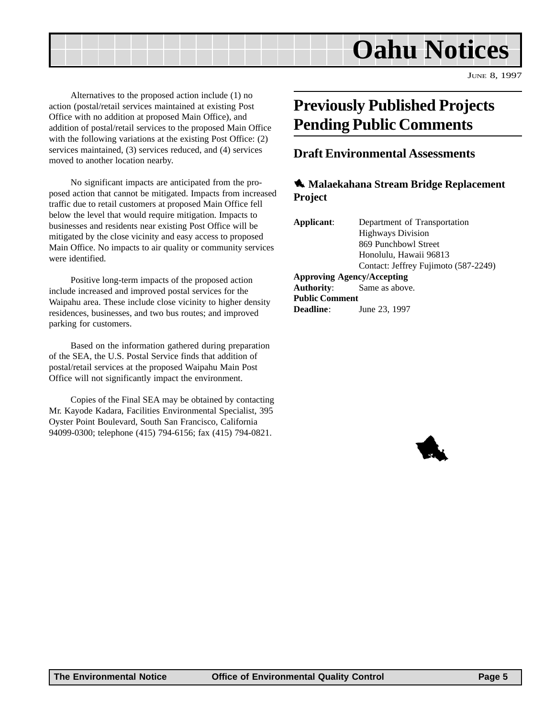## **Oahu Notices**

JUNE 8, 1997

<span id="page-4-0"></span>Alternatives to the proposed action include (1) no action (postal/retail services maintained at existing Post Office with no addition at proposed Main Office), and addition of postal/retail services to the proposed Main Office with the following variations at the existing Post Office: (2) services maintained, (3) services reduced, and (4) services moved to another location nearby.

No significant impacts are anticipated from the proposed action that cannot be mitigated. Impacts from increased traffic due to retail customers at proposed Main Office fell below the level that would require mitigation. Impacts to businesses and residents near existing Post Office will be mitigated by the close vicinity and easy access to proposed Main Office. No impacts to air quality or community services were identified.

Positive long-term impacts of the proposed action include increased and improved postal services for the Waipahu area. These include close vicinity to higher density residences, businesses, and two bus routes; and improved parking for customers.

Based on the information gathered during preparation of the SEA, the U.S. Postal Service finds that addition of postal/retail services at the proposed Waipahu Main Post Office will not significantly impact the environment.

Copies of the Final SEA may be obtained by contacting Mr. Kayode Kadara, Facilities Environmental Specialist, 395 Oyster Point Boulevard, South San Francisco, California 94099-0300; telephone (415) 794-6156; fax (415) 794-0821.

### **Previously Published Projects Pending Public Comments**

### **Draft Environmental Assessments**

#### $\blacklozenge$  **Malaekahana Stream Bridge Replacement Project**

**Applicant**: Department of Transportation Highways Division 869 Punchbowl Street Honolulu, Hawaii 96813 Contact: Jeffrey Fujimoto (587-2249) **Approving Agency/Accepting Authority**: Same as above. **Public Comment Deadline**: June 23, 1997

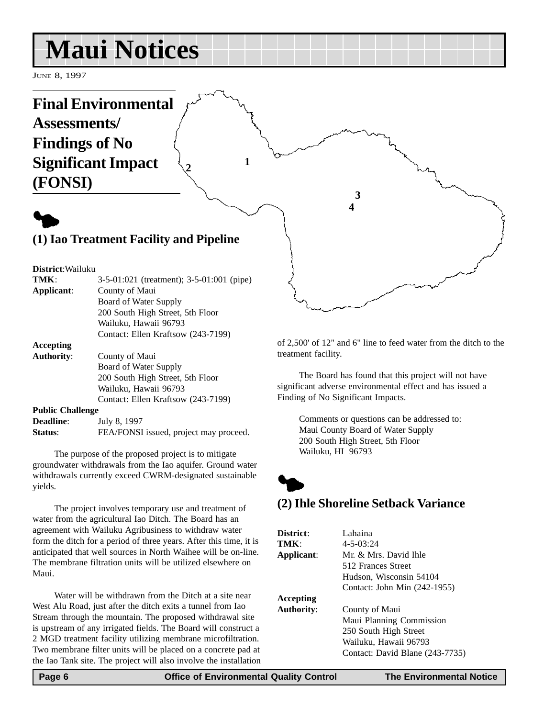## <span id="page-5-0"></span>**Maui Notices**

JUNE 8, 1997

**Final Environmental Assessments/ Findings of No Significant Impact (FONSI)**

### $\blacklozenge$ **(1) Iao Treatment Facility and Pipeline**

**<sup>1</sup> <sup>2</sup>**

#### **District**:Wailuku

| TMK:                    | 3-5-01:021 (treatment); 3-5-01:001 (pipe) |
|-------------------------|-------------------------------------------|
| Applicant:              | County of Maui                            |
|                         | Board of Water Supply                     |
|                         | 200 South High Street, 5th Floor          |
|                         | Wailuku, Hawaii 96793                     |
|                         | Contact: Ellen Kraftsow (243-7199)        |
| Accepting               |                                           |
| <b>Authority:</b>       | County of Maui                            |
|                         | Board of Water Supply                     |
|                         | 200 South High Street, 5th Floor          |
|                         | Wailuku, Hawaii 96793                     |
|                         | Contact: Ellen Kraftsow (243-7199)        |
| <b>Public Challenge</b> |                                           |
| <b>Deadline:</b>        | July 8, 1997                              |
| Status:                 | FEA/FONSI issued, project may proceed.    |

The purpose of the proposed project is to mitigate groundwater withdrawals from the Iao aquifer. Ground water withdrawals currently exceed CWRM-designated sustainable yields.

The project involves temporary use and treatment of water from the agricultural Iao Ditch. The Board has an agreement with Wailuku Agribusiness to withdraw water form the ditch for a period of three years. After this time, it is anticipated that well sources in North Waihee will be on-line. The membrane filtration units will be utilized elsewhere on Maui.

Water will be withdrawn from the Ditch at a site near West Alu Road, just after the ditch exits a tunnel from Iao Stream through the mountain. The proposed withdrawal site is upstream of any irrigated fields. The Board will construct a 2 MGD treatment facility utilizing membrane microfiltration. Two membrane filter units will be placed on a concrete pad at the Iao Tank site. The project will also involve the installation of 2,500' of 12" and 6" line to feed water from the ditch to the treatment facility.

The Board has found that this project will not have significant adverse environmental effect and has issued a Finding of No Significant Impacts.

**3 4**

Comments or questions can be addressed to: Maui County Board of Water Supply 200 South High Street, 5th Floor Wailuku, HI 96793



### **(2) Ihle Shoreline Setback Variance**

| District:         | Lahaina                         |
|-------------------|---------------------------------|
| TMK:              | $4 - 5 - 03:24$                 |
| Applicant:        | Mr. & Mrs. David Ihle           |
|                   | 512 Frances Street              |
|                   | Hudson, Wisconsin 54104         |
|                   | Contact: John Min (242-1955)    |
| Accepting         |                                 |
| <b>Authority:</b> | County of Maui                  |
|                   | Maui Planning Commission        |
|                   | 250 South High Street           |
|                   | Wailuku, Hawaii 96793           |
|                   | Contact: David Blane (243-7735) |
|                   |                                 |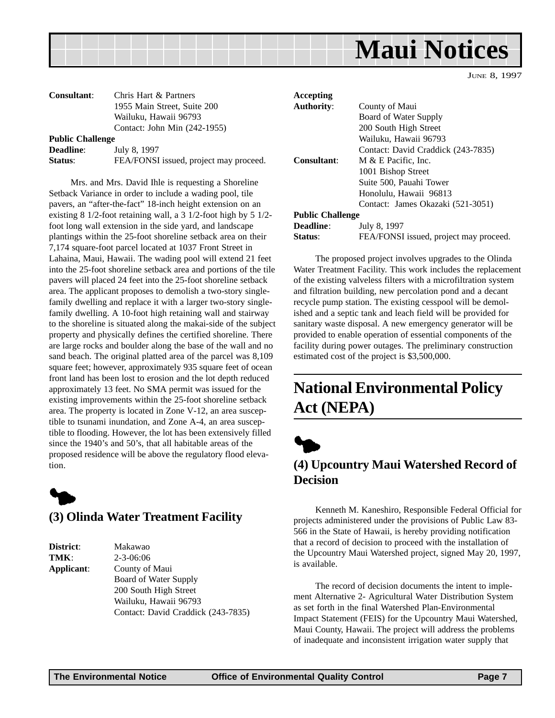<span id="page-6-0"></span>

JUNE 8, 1997

| <b>Consultant:</b>      | Chris Hart & Partners                              | Accepting          |                                    |
|-------------------------|----------------------------------------------------|--------------------|------------------------------------|
|                         | 1955 Main Street, Suite 200                        | <b>Authority:</b>  | County of Maui                     |
|                         | Wailuku, Hawaii 96793                              |                    | Board of Water Supply              |
|                         | Contact: John Min (242-1955)                       |                    | 200 South High Street              |
| <b>Public Challenge</b> |                                                    |                    | Wailuku, Hawaii 96793              |
| <b>Deadline:</b>        | July 8, 1997                                       |                    | Contact: David Craddick (243-7835) |
| Status:                 | FEA/FONSI issued, project may proceed.             | <b>Consultant:</b> | M & E Pacific, Inc.                |
|                         |                                                    |                    | 1001 Bishop Street                 |
|                         | Mrs. and Mrs. David Iblo is requesting a Shoroline |                    | Suite 500 Doughi Tower             |

Mrs. and Mrs. David Ihle is requesting a Shoreline Setback Variance in order to include a wading pool, tile pavers, an "after-the-fact" 18-inch height extension on an existing 8 1/2-foot retaining wall, a 3 1/2-foot high by 5 1/2 foot long wall extension in the side yard, and landscape plantings within the 25-foot shoreline setback area on their 7,174 square-foot parcel located at 1037 Front Street in Lahaina, Maui, Hawaii. The wading pool will extend 21 feet into the 25-foot shoreline setback area and portions of the tile pavers will placed 24 feet into the 25-foot shoreline setback area. The applicant proposes to demolish a two-story singlefamily dwelling and replace it with a larger two-story singlefamily dwelling. A 10-foot high retaining wall and stairway to the shoreline is situated along the makai-side of the subject property and physically defines the certified shoreline. There are large rocks and boulder along the base of the wall and no sand beach. The original platted area of the parcel was 8,109 square feet; however, approximately 935 square feet of ocean front land has been lost to erosion and the lot depth reduced approximately 13 feet. No SMA permit was issued for the existing improvements within the 25-foot shoreline setback area. The property is located in Zone V-12, an area susceptible to tsunami inundation, and Zone A-4, an area susceptible to flooding. However, the lot has been extensively filled since the 1940's and 50's, that all habitable areas of the proposed residence will be above the regulatory flood elevation.



#### **(3) Olinda Water Treatment Facility**

| <b>District:</b> | Makawao                            |
|------------------|------------------------------------|
| TMK:             | $2 - 3 - 06:06$                    |
| Applicant:       | County of Maui                     |
|                  | Board of Water Supply              |
|                  | 200 South High Street              |
|                  | Wailuku, Hawaii 96793              |
|                  | Contact: David Craddick (243-7835) |

| дисринд                 |                                        |
|-------------------------|----------------------------------------|
| <b>Authority:</b>       | County of Maui                         |
|                         | Board of Water Supply                  |
|                         | 200 South High Street                  |
|                         | Wailuku, Hawaii 96793                  |
|                         | Contact: David Craddick (243-7835)     |
| Consultant:             | $M \& E$ Pacific, Inc.                 |
|                         | 1001 Bishop Street                     |
|                         | Suite 500, Pauahi Tower                |
|                         | Honolulu, Hawaii 96813                 |
|                         | Contact: James Okazaki (521-3051)      |
| <b>Public Challenge</b> |                                        |
| <b>Deadline:</b>        | July 8, 1997                           |
| <b>Status:</b>          | FEA/FONSI issued, project may proceed. |

The proposed project involves upgrades to the Olinda Water Treatment Facility. This work includes the replacement of the existing valveless filters with a microfiltration system and filtration building, new percolation pond and a decant recycle pump station. The existing cesspool will be demolished and a septic tank and leach field will be provided for sanitary waste disposal. A new emergency generator will be provided to enable operation of essential components of the facility during power outages. The preliminary construction estimated cost of the project is \$3,500,000.

### **National Environmental Policy Act (NEPA)**



### **(4) Upcountry Maui Watershed Record of Decision**

Kenneth M. Kaneshiro, Responsible Federal Official for projects administered under the provisions of Public Law 83- 566 in the State of Hawaii, is hereby providing notification that a record of decision to proceed with the installation of the Upcountry Maui Watershed project, signed May 20, 1997, is available.

The record of decision documents the intent to implement Alternative 2- Agricultural Water Distribution System as set forth in the final Watershed Plan-Environmental Impact Statement (FEIS) for the Upcountry Maui Watershed, Maui County, Hawaii. The project will address the problems of inadequate and inconsistent irrigation water supply that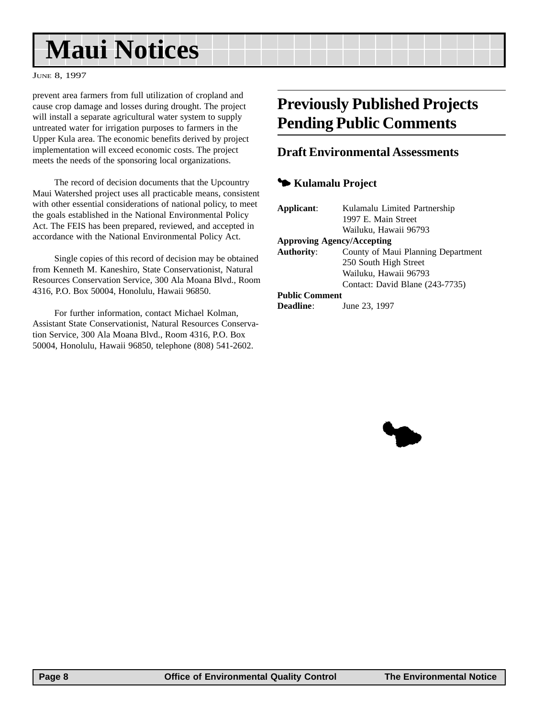## <span id="page-7-0"></span>**Maui Notices**

#### JUNE 8, 1997

prevent area farmers from full utilization of cropland and cause crop damage and losses during drought. The project will install a separate agricultural water system to supply untreated water for irrigation purposes to farmers in the Upper Kula area. The economic benefits derived by project implementation will exceed economic costs. The project meets the needs of the sponsoring local organizations.

The record of decision documents that the Upcountry Maui Watershed project uses all practicable means, consistent with other essential considerations of national policy, to meet the goals established in the National Environmental Policy Act. The FEIS has been prepared, reviewed, and accepted in accordance with the National Environmental Policy Act.

Single copies of this record of decision may be obtained from Kenneth M. Kaneshiro, State Conservationist, Natural Resources Conservation Service, 300 Ala Moana Blvd., Room 4316, P.O. Box 50004, Honolulu, Hawaii 96850.

For further information, contact Michael Kolman, Assistant State Conservationist, Natural Resources Conservation Service, 300 Ala Moana Blvd., Room 4316, P.O. Box 50004, Honolulu, Hawaii 96850, telephone (808) 541-2602.

### **Previously Published Projects Pending Public Comments**

### **Draft Environmental Assessments**

#### 3 **Kulamalu Project**

| Applicant:            | Kulamalu Limited Partnership       |
|-----------------------|------------------------------------|
|                       | 1997 E. Main Street                |
|                       | Wailuku, Hawaii 96793              |
|                       | <b>Approving Agency/Accepting</b>  |
| <b>Authority:</b>     | County of Maui Planning Department |
|                       | 250 South High Street              |
|                       | Wailuku, Hawaii 96793              |
|                       | Contact: David Blane (243-7735)    |
| <b>Public Comment</b> |                                    |
| Deadline:             | June 23, 1997                      |
|                       |                                    |

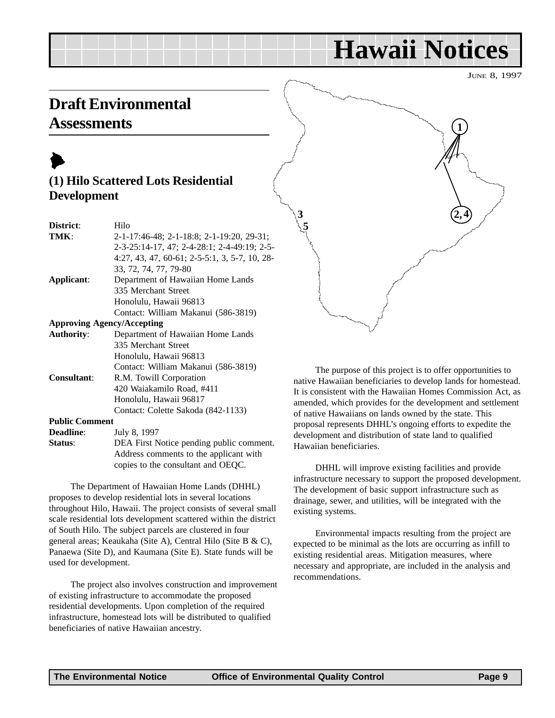JUNE 8, 1997

### <span id="page-8-0"></span>**Draft Environmental Assessments**

### $\blacktriangleright$ **(1) Hilo Scattered Lots Residential Development**

| District:                         | Hilo                                          |
|-----------------------------------|-----------------------------------------------|
| TMK:                              | 2-1-17:46-48; 2-1-18:8; 2-1-19:20, 29-31;     |
|                                   | 2-3-25:14-17, 47; 2-4-28:1; 2-4-49:19; 2-5-   |
|                                   | 4:27, 43, 47, 60-61; 2-5-5:1, 3, 5-7, 10, 28- |
|                                   | 33, 72, 74, 77, 79-80                         |
| Applicant:                        | Department of Hawaiian Home Lands             |
|                                   | 335 Merchant Street                           |
|                                   | Honolulu, Hawaii 96813                        |
|                                   | Contact: William Makanui (586-3819)           |
| <b>Approving Agency/Accepting</b> |                                               |
| <b>Authority:</b>                 | Department of Hawaiian Home Lands             |
|                                   | 335 Merchant Street                           |
|                                   | Honolulu, Hawaii 96813                        |
|                                   | Contact: William Makanui (586-3819)           |
| <b>Consultant:</b>                | R.M. Towill Corporation                       |
|                                   | 420 Waiakamilo Road, #411                     |
|                                   | Honolulu, Hawaii 96817                        |
|                                   | Contact: Colette Sakoda (842-1133)            |
| <b>Public Comment</b>             |                                               |
| $\mathbf{m}$ $\mathbf{m}$         |                                               |

| <b>Deadline:</b> | July 8, 1997                             |
|------------------|------------------------------------------|
| Status:          | DEA First Notice pending public comment. |
|                  | Address comments to the applicant with   |
|                  | copies to the consultant and OEQC.       |

The Department of Hawaiian Home Lands (DHHL) proposes to develop residential lots in several locations throughout Hilo, Hawaii. The project consists of several small scale residential lots development scattered within the district of South Hilo. The subject parcels are clustered in four general areas; Keaukaha (Site A), Central Hilo (Site B & C), Panaewa (Site D), and Kaumana (Site E). State funds will be used for development.

The project also involves construction and improvement of existing infrastructure to accommodate the proposed residential developments. Upon completion of the required infrastructure, homestead lots will be distributed to qualified beneficiaries of native Hawaiian ancestry.



The purpose of this project is to offer opportunities to native Hawaiian beneficiaries to develop lands for homestead. It is consistent with the Hawaiian Homes Commission Act, as amended, which provides for the development and settlement of native Hawaiians on lands owned by the state. This proposal represents DHHL's ongoing efforts to expedite the development and distribution of state land to qualified Hawaiian beneficiaries.

DHHL will improve existing facilities and provide infrastructure necessary to support the proposed development. The development of basic support infrastructure such as drainage, sewer, and utilities, will be integrated with the existing systems.

Environmental impacts resulting from the project are expected to be minimal as the lots are occurring as infill to existing residential areas. Mitigation measures, where necessary and appropriate, are included in the analysis and recommendations.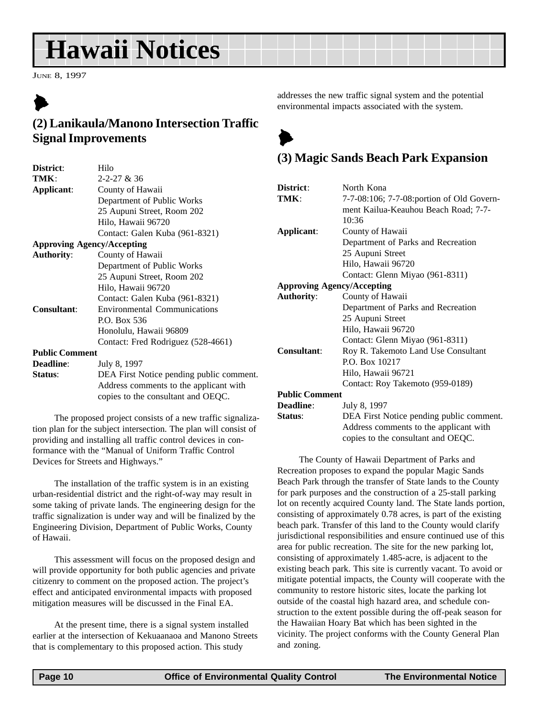<span id="page-9-0"></span>JUNE 8, 1997

### $\blacktriangleright$ **(2) Lanikaula/Manono Intersection Traffic Signal Improvements**

| District:             | Hilo                                     |  |  |
|-----------------------|------------------------------------------|--|--|
| TMK:                  | 2-2-27 & 36                              |  |  |
| Applicant:            | County of Hawaii                         |  |  |
|                       | Department of Public Works               |  |  |
|                       | 25 Aupuni Street, Room 202               |  |  |
|                       | Hilo, Hawaii 96720                       |  |  |
|                       | Contact: Galen Kuba (961-8321)           |  |  |
|                       | <b>Approving Agency/Accepting</b>        |  |  |
| <b>Authority:</b>     | County of Hawaii                         |  |  |
|                       | Department of Public Works               |  |  |
|                       | 25 Aupuni Street, Room 202               |  |  |
|                       | Hilo, Hawaii 96720                       |  |  |
|                       | Contact: Galen Kuba (961-8321)           |  |  |
| <b>Consultant:</b>    | <b>Environmental Communications</b>      |  |  |
|                       | P.O. Box 536                             |  |  |
|                       | Honolulu, Hawaii 96809                   |  |  |
|                       | Contact: Fred Rodriguez (528-4661)       |  |  |
| <b>Public Comment</b> |                                          |  |  |
| <b>Deadline:</b>      | July 8, 1997                             |  |  |
| Status:               | DEA First Notice pending public comment. |  |  |
|                       | Address comments to the applicant with   |  |  |

copies to the consultant and OEQC.

The proposed project consists of a new traffic signalization plan for the subject intersection. The plan will consist of providing and installing all traffic control devices in conformance with the "Manual of Uniform Traffic Control Devices for Streets and Highways."

The installation of the traffic system is in an existing urban-residential district and the right-of-way may result in some taking of private lands. The engineering design for the traffic signalization is under way and will be finalized by the Engineering Division, Department of Public Works, County of Hawaii.

This assessment will focus on the proposed design and will provide opportunity for both public agencies and private citizenry to comment on the proposed action. The project's effect and anticipated environmental impacts with proposed mitigation measures will be discussed in the Final EA.

At the present time, there is a signal system installed earlier at the intersection of Kekuaanaoa and Manono Streets that is complementary to this proposed action. This study

addresses the new traffic signal system and the potential environmental impacts associated with the system.

 $\blacktriangleright$ 

### **(3) Magic Sands Beach Park Expansion**

| District:                         | North Kona                                |
|-----------------------------------|-------------------------------------------|
| TMK:                              | 7-7-08:106; 7-7-08:portion of Old Govern- |
|                                   | ment Kailua-Keauhou Beach Road; 7-7-      |
|                                   | 10:36                                     |
| Applicant:                        | County of Hawaii                          |
|                                   | Department of Parks and Recreation        |
|                                   | 25 Aupuni Street                          |
|                                   | Hilo, Hawaii 96720                        |
|                                   | Contact: Glenn Miyao (961-8311)           |
| <b>Approving Agency/Accepting</b> |                                           |
| <b>Authority:</b>                 | County of Hawaii                          |
|                                   | Department of Parks and Recreation        |
|                                   | 25 Aupuni Street                          |
|                                   | Hilo, Hawaii 96720                        |
|                                   | Contact: Glenn Miyao (961-8311)           |
| <b>Consultant:</b>                | Roy R. Takemoto Land Use Consultant       |
|                                   | P.O. Box 10217                            |
|                                   | Hilo, Hawaii 96721                        |
|                                   | Contact: Roy Takemoto (959-0189)          |
| <b>Public Comment</b>             |                                           |
| Deadline:                         | July 8, 1997                              |
| Status:                           | DEA First Notice pending public comment.  |
|                                   | Address comments to the applicant with    |
|                                   | copies to the consultant and OEQC.        |

The County of Hawaii Department of Parks and Recreation proposes to expand the popular Magic Sands Beach Park through the transfer of State lands to the County for park purposes and the construction of a 25-stall parking lot on recently acquired County land. The State lands portion, consisting of approximately 0.78 acres, is part of the existing beach park. Transfer of this land to the County would clarify jurisdictional responsibilities and ensure continued use of this area for public recreation. The site for the new parking lot, consisting of approximately 1.485-acre, is adjacent to the existing beach park. This site is currently vacant. To avoid or mitigate potential impacts, the County will cooperate with the community to restore historic sites, locate the parking lot outside of the coastal high hazard area, and schedule construction to the extent possible during the off-peak season for the Hawaiian Hoary Bat which has been sighted in the vicinity. The project conforms with the County General Plan and zoning.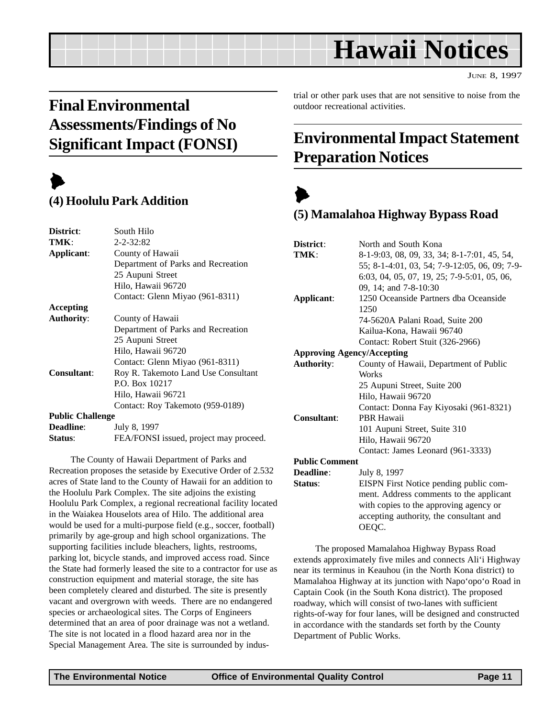JUNE 8, 1997

### <span id="page-10-0"></span>**Final Environmental Assessments/Findings of No Significant Impact (FONSI)**

## $\blacktriangleright$

### **(4) Hoolulu Park Addition**

| District:               | South Hilo                             |
|-------------------------|----------------------------------------|
| TMK:                    | $2 - 2 - 32:82$                        |
| Applicant:              | County of Hawaii                       |
|                         | Department of Parks and Recreation     |
|                         | 25 Aupuni Street                       |
|                         | Hilo, Hawaii 96720                     |
|                         | Contact: Glenn Miyao (961-8311)        |
| Accepting               |                                        |
| <b>Authority:</b>       | County of Hawaii                       |
|                         | Department of Parks and Recreation     |
|                         | 25 Aupuni Street                       |
|                         | Hilo, Hawaii 96720                     |
|                         | Contact: Glenn Miyao (961-8311)        |
| <b>Consultant:</b>      | Roy R. Takemoto Land Use Consultant    |
|                         | P.O. Box 10217                         |
|                         | Hilo, Hawaii 96721                     |
|                         | Contact: Roy Takemoto (959-0189)       |
| <b>Public Challenge</b> |                                        |
| <b>Deadline:</b>        | July 8, 1997                           |
| Status:                 | FEA/FONSI issued, project may proceed. |

The County of Hawaii Department of Parks and Recreation proposes the setaside by Executive Order of 2.532 acres of State land to the County of Hawaii for an addition to the Hoolulu Park Complex. The site adjoins the existing Hoolulu Park Complex, a regional recreational facility located in the Waiakea Houselots area of Hilo. The additional area would be used for a multi-purpose field (e.g., soccer, football) primarily by age-group and high school organizations. The supporting facilities include bleachers, lights, restrooms, parking lot, bicycle stands, and improved access road. Since the State had formerly leased the site to a contractor for use as construction equipment and material storage, the site has been completely cleared and disturbed. The site is presently vacant and overgrown with weeds. There are no endangered species or archaeological sites. The Corps of Engineers determined that an area of poor drainage was not a wetland. The site is not located in a flood hazard area nor in the Special Management Area. The site is surrounded by industrial or other park uses that are not sensitive to noise from the outdoor recreational activities.

### **Environmental Impact Statement Preparation Notices**

### $\blacktriangleright$

### **(5) Mamalahoa Highway Bypass Road**

| District:                         | North and South Kona                          |  |  |
|-----------------------------------|-----------------------------------------------|--|--|
| TMK:                              | 8-1-9:03, 08, 09, 33, 34; 8-1-7:01, 45, 54,   |  |  |
|                                   | 55; 8-1-4:01, 03, 54; 7-9-12:05, 06, 09; 7-9- |  |  |
|                                   | 6:03, 04, 05, 07, 19, 25; 7-9-5:01, 05, 06,   |  |  |
|                                   | 09, 14; and 7-8-10:30                         |  |  |
| Applicant:                        | 1250 Oceanside Partners dba Oceanside         |  |  |
|                                   | 1250                                          |  |  |
|                                   | 74-5620A Palani Road, Suite 200               |  |  |
|                                   | Kailua-Kona, Hawaii 96740                     |  |  |
|                                   | Contact: Robert Stuit (326-2966)              |  |  |
| <b>Approving Agency/Accepting</b> |                                               |  |  |
| <b>Authority:</b>                 | County of Hawaii, Department of Public        |  |  |
|                                   | <b>Works</b>                                  |  |  |
|                                   | 25 Aupuni Street, Suite 200                   |  |  |
|                                   | Hilo, Hawaii 96720                            |  |  |
|                                   | Contact: Donna Fay Kiyosaki (961-8321)        |  |  |
| Consultant:                       | <b>PBR Hawaii</b>                             |  |  |
|                                   | 101 Aupuni Street, Suite 310                  |  |  |
|                                   | Hilo, Hawaii 96720                            |  |  |
|                                   | Contact: James Leonard (961-3333)             |  |  |
| <b>Public Comment</b>             |                                               |  |  |
| Deadline:                         | July 8, 1997                                  |  |  |
| Status:                           | EISPN First Notice pending public com-        |  |  |
|                                   | ment. Address comments to the applicant       |  |  |
|                                   | with copies to the approving agency or        |  |  |
|                                   | accepting authority, the consultant and       |  |  |
|                                   | OEQC.                                         |  |  |

The proposed Mamalahoa Highway Bypass Road extends approximately five miles and connects Ali'i Highway near its terminus in Keauhou (in the North Kona district) to Mamalahoa Highway at its junction with Napo'opo'o Road in Captain Cook (in the South Kona district). The proposed roadway, which will consist of two-lanes with sufficient rights-of-way for four lanes, will be designed and constructed in accordance with the standards set forth by the County Department of Public Works.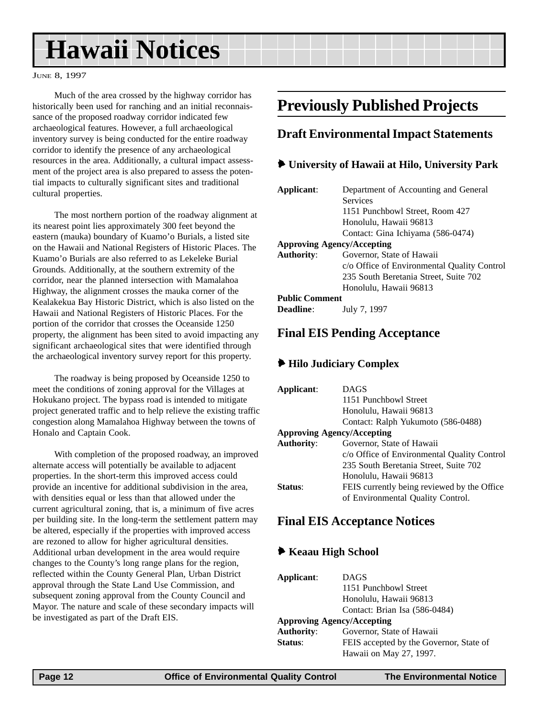#### <span id="page-11-0"></span>JUNE 8, 1997

Much of the area crossed by the highway corridor has historically been used for ranching and an initial reconnaissance of the proposed roadway corridor indicated few archaeological features. However, a full archaeological inventory survey is being conducted for the entire roadway corridor to identify the presence of any archaeological resources in the area. Additionally, a cultural impact assessment of the project area is also prepared to assess the potential impacts to culturally significant sites and traditional cultural properties.

The most northern portion of the roadway alignment at its nearest point lies approximately 300 feet beyond the eastern (mauka) boundary of Kuamo'o Burials, a listed site on the Hawaii and National Registers of Historic Places. The Kuamo'o Burials are also referred to as Lekeleke Burial Grounds. Additionally, at the southern extremity of the corridor, near the planned intersection with Mamalahoa Highway, the alignment crosses the mauka corner of the Kealakekua Bay Historic District, which is also listed on the Hawaii and National Registers of Historic Places. For the portion of the corridor that crosses the Oceanside 1250 property, the alignment has been sited to avoid impacting any significant archaeological sites that were identified through the archaeological inventory survey report for this property.

The roadway is being proposed by Oceanside 1250 to meet the conditions of zoning approval for the Villages at Hokukano project. The bypass road is intended to mitigate project generated traffic and to help relieve the existing traffic congestion along Mamalahoa Highway between the towns of Honalo and Captain Cook.

With completion of the proposed roadway, an improved alternate access will potentially be available to adjacent properties. In the short-term this improved access could provide an incentive for additional subdivision in the area, with densities equal or less than that allowed under the current agricultural zoning, that is, a minimum of five acres per building site. In the long-term the settlement pattern may be altered, especially if the properties with improved access are rezoned to allow for higher agricultural densities. Additional urban development in the area would require changes to the County's long range plans for the region, reflected within the County General Plan, Urban District approval through the State Land Use Commission, and subsequent zoning approval from the County Council and Mayor. The nature and scale of these secondary impacts will be investigated as part of the Draft EIS.

### **Previously Published Projects**

### **Draft Environmental Impact Statements**

#### 6 **University of Hawaii at Hilo, University Park**

| Applicant:            | Department of Accounting and General        |
|-----------------------|---------------------------------------------|
|                       | Services                                    |
|                       | 1151 Punchbowl Street, Room 427             |
|                       | Honolulu, Hawaii 96813                      |
|                       | Contact: Gina Ichiyama (586-0474)           |
|                       | <b>Approving Agency/Accepting</b>           |
| <b>Authority:</b>     | Governor, State of Hawaii                   |
|                       | c/o Office of Environmental Quality Control |
|                       | 235 South Beretania Street, Suite 702       |
|                       | Honolulu, Hawaii 96813                      |
| <b>Public Comment</b> |                                             |
|                       |                                             |

**Deadline**: July 7, 1997

### **Final EIS Pending Acceptance**

#### 6 **Hilo Judiciary Complex**

| Applicant:        | DAGS                                        |  |  |  |  |
|-------------------|---------------------------------------------|--|--|--|--|
|                   | 1151 Punchbowl Street                       |  |  |  |  |
|                   | Honolulu, Hawaii 96813                      |  |  |  |  |
|                   | Contact: Ralph Yukumoto (586-0488)          |  |  |  |  |
|                   | <b>Approving Agency/Accepting</b>           |  |  |  |  |
| <b>Authority:</b> | Governor, State of Hawaii                   |  |  |  |  |
|                   | c/o Office of Environmental Quality Control |  |  |  |  |
|                   | 235 South Beretania Street, Suite 702       |  |  |  |  |
|                   | Honolulu, Hawaii 96813                      |  |  |  |  |
| Status:           | FEIS currently being reviewed by the Office |  |  |  |  |
|                   | of Environmental Quality Control.           |  |  |  |  |

### **Final EIS Acceptance Notices**

#### 6 **Keaau High School**

|                   | DAGS                                    |
|-------------------|-----------------------------------------|
| Applicant:        |                                         |
|                   | 1151 Punchbowl Street                   |
|                   | Honolulu, Hawaii 96813                  |
|                   | Contact: Brian Isa (586-0484)           |
|                   | <b>Approving Agency/Accepting</b>       |
| <b>Authority:</b> | Governor, State of Hawaii               |
| Status:           | FEIS accepted by the Governor, State of |
|                   | Hawaii on May 27, 1997.                 |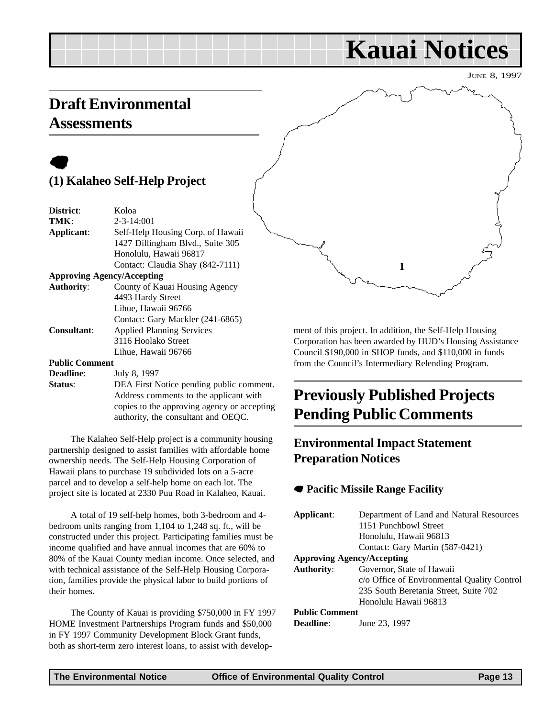## **Kauai Notices**

JUNE 8, 1997

### <span id="page-12-0"></span>**Draft Environmental Assessments**

### $\bullet$ **(1) Kalaheo Self-Help Project**

| District:                         | Koloa                             |
|-----------------------------------|-----------------------------------|
| TMK                               | 2-3-14:001                        |
| Applicant:                        | Self-Help Housing Corp. of Hawaii |
|                                   | 1427 Dillingham Blvd., Suite 305  |
|                                   | Honolulu, Hawaii 96817            |
|                                   | Contact: Claudia Shay (842-7111)  |
| <b>Approving Agency/Accepting</b> |                                   |
| Authority:                        | County of Kauai Housing Agency    |
|                                   | 4493 Hardy Street                 |
|                                   | Lihue, Hawaii 96766               |
|                                   | Contact: Gary Mackler (241-6865)  |
| Consultant:                       | <b>Applied Planning Services</b>  |
|                                   | 3116 Hoolako Street               |
|                                   | Lihue, Hawaii 96766               |
| <b>Public Comment</b>             |                                   |

**Deadline:** July 8, 1997

**Status:** DEA First Notice pending public comment. Address comments to the applicant with copies to the approving agency or accepting authority, the consultant and OEQC.

The Kalaheo Self-Help project is a community housing partnership designed to assist families with affordable home ownership needs. The Self-Help Housing Corporation of Hawaii plans to purchase 19 subdivided lots on a 5-acre parcel and to develop a self-help home on each lot. The project site is located at 2330 Puu Road in Kalaheo, Kauai.

A total of 19 self-help homes, both 3-bedroom and 4 bedroom units ranging from 1,104 to 1,248 sq. ft., will be constructed under this project. Participating families must be income qualified and have annual incomes that are 60% to 80% of the Kauai County median income. Once selected, and with technical assistance of the Self-Help Housing Corporation, families provide the physical labor to build portions of their homes.

The County of Kauai is providing \$750,000 in FY 1997 HOME Investment Partnerships Program funds and \$50,000 in FY 1997 Community Development Block Grant funds, both as short-term zero interest loans, to assist with development of this project. In addition, the Self-Help Housing Corporation has been awarded by HUD's Housing Assistance Council \$190,000 in SHOP funds, and \$110,000 in funds from the Council's Intermediary Relending Program.

**1**

### **Previously Published Projects Pending Public Comments**

### **Environmental Impact Statement Preparation Notices**

#### 7 **Pacific Missile Range Facility**

| Applicant:            | Department of Land and Natural Resources<br>1151 Punchbowl Street |  |  |  |
|-----------------------|-------------------------------------------------------------------|--|--|--|
|                       | Honolulu, Hawaii 96813                                            |  |  |  |
|                       | Contact: Gary Martin (587-0421)                                   |  |  |  |
|                       | <b>Approving Agency/Accepting</b>                                 |  |  |  |
| <b>Authority:</b>     | Governor, State of Hawaii                                         |  |  |  |
|                       | c/o Office of Environmental Quality Control                       |  |  |  |
|                       | 235 South Beretania Street, Suite 702                             |  |  |  |
|                       | Honolulu Hawaii 96813                                             |  |  |  |
| <b>Public Comment</b> |                                                                   |  |  |  |
| <b>Deadline:</b>      | June 23, 1997                                                     |  |  |  |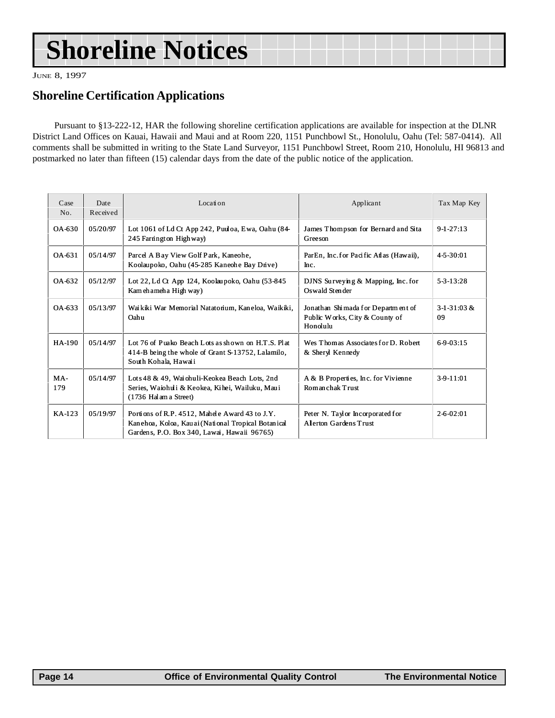## **Shoreline Notices**

JUNE 8, 1997

### **Shoreline Certification Applications**

Pursuant to §13-222-12, HAR the following shoreline certification applications are available for inspection at the DLNR District Land Offices on Kauai, Hawaii and Maui and at Room 220, 1151 Punchbowl St., Honolulu, Oahu (Tel: 587-0414). All comments shall be submitted in writing to the State Land Surveyor, 1151 Punchbowl Street, Room 210, Honolulu, HI 96813 and postmarked no later than fifteen (15) calendar days from the date of the public notice of the application.

| Case<br>No. | Date<br>Received | Location                                                                                                                                            | Applicant                                                                        | Tax Map Key         |
|-------------|------------------|-----------------------------------------------------------------------------------------------------------------------------------------------------|----------------------------------------------------------------------------------|---------------------|
| OA-630      | 05/20/97         | Lot 1061 of Ld Ct App 242, Puuloa, Ewa, Oahu (84-<br>245 Farnington Highway)                                                                        | James Thompson for Bernard and Sita<br>Greeson                                   | $9 - 1 - 27:13$     |
| OA-631      | 05/14/97         | Parcel A B ay View Golf Park, Kaneohe,<br>Koolaupoko, Oahu (45-285 Kaneohe Bay Drive)                                                               | ParEn, Inc. for Pacific Atlas (Hawaii),<br>Inc.                                  |                     |
| OA-632      | 05/12/97         | Lot 22, Ld Ct App 124, Koolaupoko, Oahu (53-845)<br>Kam eh ameh a High way)                                                                         | DJNS Surveying & Mapping, Inc. for<br>Oswald Stender                             |                     |
| OA-633      | 05/13/97         | Waikiki War Memorial Natatorium, Kaneloa, Waikiki,<br>Oahu                                                                                          | Jonathan Shimada for Department of<br>Public Works, City & County of<br>Honolulu | $3-1-31:03 &$<br>09 |
| HA-190      | 05/14/97         | Lot 76 of Puako Beach Lots as shown on H.T.S. Plat<br>414-B being the whole of Grant S-13752, Lalamilo,<br>South Kohala, Hawaii                     | Wes Thomas Associates for D. Robert<br>& Sheryl Kennedy                          | $6-9-03:15$         |
| MA-<br>179  | 05/14/97         | Lots 48 & 49, Wai ohuli-Keokea Beach Lots, 2nd<br>Series, Waiohuli & Keokea, Kihei, Wailuku, Maui<br>(1736 Halam a Street)                          | A & B Properties, Inc. for Vivienne<br>Romanchak Trust                           | $3-9-11:01$         |
| $KA-123$    | 05/19/97         | Portions of R.P. 4512, Mahele Award 43 to J.Y.<br>Kanehoa, Koloa, Kauai (National Tropical Botanical<br>Gardens, P.O. Box 340, Lawai, Hawaii 96765) | Peter N. Taylor Incorporated for<br>Allerton Gardens Trust                       | $2 - 6 - 02:01$     |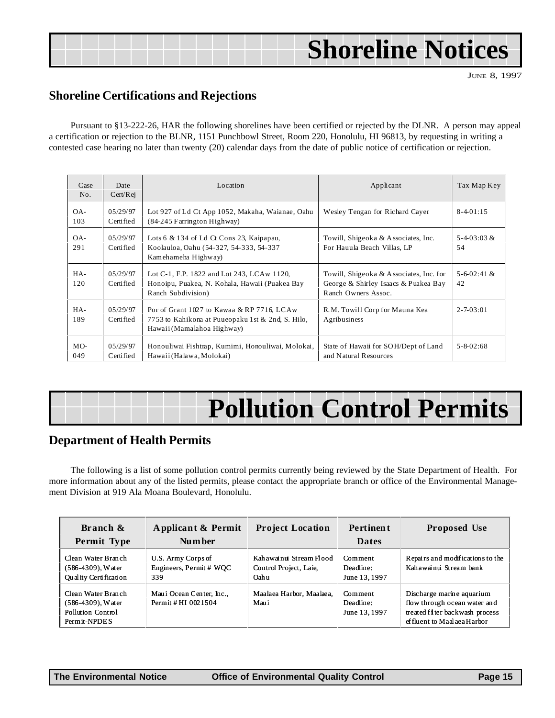## <span id="page-14-0"></span>**Shoreline Notices**

JUNE 8, 1997

### **Shoreline Certifications and Rejections**

Pursuant to §13-222-26, HAR the following shorelines have been certified or rejected by the DLNR. A person may appeal a certification or rejection to the BLNR, 1151 Punchbowl Street, Room 220, Honolulu, HI 96813, by requesting in writing a contested case hearing no later than twenty (20) calendar days from the date of public notice of certification or rejection.

| Case<br>No. | Date<br>Cert/Rej      | Location<br>Applicant                                                                                                                                                                                                                                                                                    |                                                                                                                                                                                                              | Tax Map Key                                                   |                              |                     |
|-------------|-----------------------|----------------------------------------------------------------------------------------------------------------------------------------------------------------------------------------------------------------------------------------------------------------------------------------------------------|--------------------------------------------------------------------------------------------------------------------------------------------------------------------------------------------------------------|---------------------------------------------------------------|------------------------------|---------------------|
| OA-<br>103  | 05/29/97<br>Certified | Lot 927 of Ld Ct App 1052, Makaha, Waianae, Oahu<br>(84-245 Farrington Highway)                                                                                                                                                                                                                          |                                                                                                                                                                                                              | Wesley Tengan for Richard Cayer<br>$8-4-01:15$                |                              |                     |
| OA-<br>291  | 05/29/97<br>Certified | Lots 6 & 134 of Ld Ct Cons 23, Kaipapau,<br>Towill, Shigeoka & Associates, Inc.<br>Koolauloa, Oahu (54-327, 54-333, 54-337<br>For Hauula Beach Villas, LP<br>Kamehameha Highway)                                                                                                                         |                                                                                                                                                                                                              |                                                               | $5 - 4 - 03 \div 03$ &<br>54 |                     |
| HA-<br>120  | 05/29/97<br>Certified | Ranch Subdivision)                                                                                                                                                                                                                                                                                       | Lot C-1, F.P. 1822 and Lot 243, LCAw 1120,<br>Towill, Shigeoka & Associates, Inc. for<br>Honoipu, Puakea, N. Kohala, Hawaii (Puakea Bay<br>George & Shirley Isaacs & Puakea Bay<br>42<br>Ranch Owners Assoc. |                                                               | $5 - 6 - 02:41$ &            |                     |
| HA-<br>189  | 05/29/97<br>Certified | Por of Grant 1027 to Kawaa & RP 7716, LCAw<br>R.M. Towill Corp for Mauna Kea<br>7753 to Kahikona at Puueopaku 1st & 2nd, S. Hilo,<br>Agribusiness<br>Hawaii (Mamalahoa Highway)                                                                                                                          |                                                                                                                                                                                                              | $2 - 7 - 03:01$                                               |                              |                     |
| MO-<br>049  | 05/29/97<br>Certified | Honouliwai Fishtrap, Kumimi, Honouliwai, Molokai,<br>Hawaii (Halawa, Molokai)                                                                                                                                                                                                                            |                                                                                                                                                                                                              | State of Hawaii for SOH/Dept of Land<br>and Natural Resources |                              | $5 - 8 - 02:68$     |
|             |                       | <b>Pollution Control Permits</b>                                                                                                                                                                                                                                                                         |                                                                                                                                                                                                              |                                                               |                              |                     |
|             |                       | partment of Health Permits                                                                                                                                                                                                                                                                               |                                                                                                                                                                                                              |                                                               |                              |                     |
|             |                       | The following is a list of some pollution control permits currently being reviewed by the State Department of Health. If<br>e information about any of the listed permits, please contact the appropriate branch or office of the Environmental Manage<br>Division at 919 Ala Moana Boulevard, Honolulu. |                                                                                                                                                                                                              |                                                               |                              |                     |
|             | Branch &              | Applicant & Permit                                                                                                                                                                                                                                                                                       | <b>Project Location</b>                                                                                                                                                                                      | <b>Pertinent</b>                                              |                              | <b>Proposed Use</b> |

## **Pollution Control Permits**

### **Department of Health Permits**

The following is a list of some pollution control permits currently being reviewed by the State Department of Health. For more information about any of the listed permits, please contact the appropriate branch or office of the Environmental Management Division at 919 Ala Moana Boulevard, Honolulu.

| Branch &<br>Permit Type                                                         | Applicant & Permit<br>Number                         | <b>Project Location</b>                                   | <b>Pertinent</b><br><b>Dates</b>      | <b>Proposed Use</b>                                                                                                        |
|---------------------------------------------------------------------------------|------------------------------------------------------|-----------------------------------------------------------|---------------------------------------|----------------------------------------------------------------------------------------------------------------------------|
| Clean Water Branch<br>$(586-4309)$ , Water<br>Ou al ity Certi fication          | U.S. Army Corps of<br>Engineers, Permit # WOC<br>339 | Kahawainui Stream Flood<br>Control Project, Laie,<br>Oahu | Comment<br>Deadline:<br>June 13, 1997 | Repairs and modifications to the<br>Kahawainui Stream bank                                                                 |
| Clean Water Branch<br>$(586-4309)$ , Water<br>Pollution Control<br>Permit-NPDES | Maui Ocean Center, Inc.,<br>Permit # HI 0021504      | Maalaea Harbor, Maalaea,<br>Maui                          | Comment<br>Deadline:<br>June 13, 1997 | Discharge marine aquarium<br>flow through ocean water and<br>treated filter backwash process<br>effluent to Maalaea Harbor |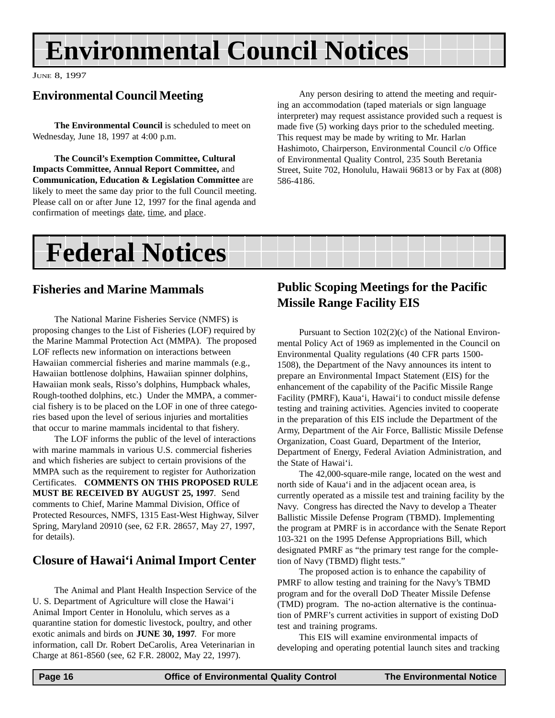## <span id="page-15-0"></span>**Environmental Council Notices**

#### JUNE 8, 1997

### **Environmental Council Meeting**

**The Environmental Council** is scheduled to meet on Wednesday, June 18, 1997 at 4:00 p.m.

**The Council's Exemption Committee, Cultural Impacts Committee, Annual Report Committee,** and **Communication, Education & Legislation Committee** are likely to meet the same day prior to the full Council meeting. Please call on or after June 12, 1997 for the final agenda and confirmation of meetings date, time, and place.

Any person desiring to attend the meeting and requiring an accommodation (taped materials or sign language interpreter) may request assistance provided such a request is made five (5) working days prior to the scheduled meeting. This request may be made by writing to Mr. Harlan Hashimoto, Chairperson, Environmental Council c/o Office of Environmental Quality Control, 235 South Beretania Street, Suite 702, Honolulu, Hawaii 96813 or by Fax at (808) 586-4186.

## **Federal Notices**

#### **Fisheries and Marine Mammals**

The National Marine Fisheries Service (NMFS) is proposing changes to the List of Fisheries (LOF) required by the Marine Mammal Protection Act (MMPA). The proposed LOF reflects new information on interactions between Hawaiian commercial fisheries and marine mammals (e.g., Hawaiian bottlenose dolphins, Hawaiian spinner dolphins, Hawaiian monk seals, Risso's dolphins, Humpback whales, Rough-toothed dolphins, etc.) Under the MMPA, a commercial fishery is to be placed on the LOF in one of three categories based upon the level of serious injuries and mortalities that occur to marine mammals incidental to that fishery.

The LOF informs the public of the level of interactions with marine mammals in various U.S. commercial fisheries and which fisheries are subject to certain provisions of the MMPA such as the requirement to register for Authorization Certificates. **COMMENTS ON THIS PROPOSED RULE MUST BE RECEIVED BY AUGUST 25, 1997**. Send comments to Chief, Marine Mammal Division, Office of Protected Resources, NMFS, 1315 East-West Highway, Silver Spring, Maryland 20910 (see, 62 F.R. 28657, May 27, 1997, for details).

### **Closure of Hawai'i Animal Import Center**

The Animal and Plant Health Inspection Service of the U. S. Department of Agriculture will close the Hawai'i Animal Import Center in Honolulu, which serves as a quarantine station for domestic livestock, poultry, and other exotic animals and birds on **JUNE 30, 1997**. For more information, call Dr. Robert DeCarolis, Area Veterinarian in Charge at 861-8560 (see, 62 F.R. 28002, May 22, 1997).

### **Public Scoping Meetings for the Pacific Missile Range Facility EIS**

Pursuant to Section 102(2)(c) of the National Environmental Policy Act of 1969 as implemented in the Council on Environmental Quality regulations (40 CFR parts 1500- 1508), the Department of the Navy announces its intent to prepare an Environmental Impact Statement (EIS) for the enhancement of the capability of the Pacific Missile Range Facility (PMRF), Kaua'i, Hawai'i to conduct missile defense testing and training activities. Agencies invited to cooperate in the preparation of this EIS include the Department of the Army, Department of the Air Force, Ballistic Missile Defense Organization, Coast Guard, Department of the Interior, Department of Energy, Federal Aviation Administration, and the State of Hawai'i.

The 42,000-square-mile range, located on the west and north side of Kaua'i and in the adjacent ocean area, is currently operated as a missile test and training facility by the Navy. Congress has directed the Navy to develop a Theater Ballistic Missile Defense Program (TBMD). Implementing the program at PMRF is in accordance with the Senate Report 103-321 on the 1995 Defense Appropriations Bill, which designated PMRF as "the primary test range for the completion of Navy (TBMD) flight tests."

The proposed action is to enhance the capability of PMRF to allow testing and training for the Navy's TBMD program and for the overall DoD Theater Missile Defense (TMD) program. The no-action alternative is the continuation of PMRF's current activities in support of existing DoD test and training programs.

This EIS will examine environmental impacts of developing and operating potential launch sites and tracking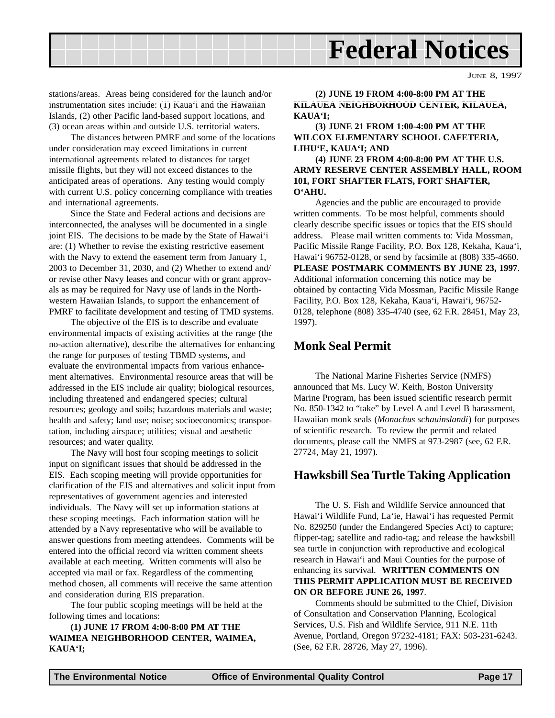<span id="page-16-0"></span>

JUNE 8, 1997

stations/areas. Areas being considered for the launch and/or instrumentation sites include: (1) Kaua'i and the Hawaiian Islands, (2) other Pacific land-based support locations, and (3) ocean areas within and outside U.S. territorial waters.

The distances between PMRF and some of the locations under consideration may exceed limitations in current international agreements related to distances for target missile flights, but they will not exceed distances to the anticipated areas of operations. Any testing would comply with current U.S. policy concerning compliance with treaties and international agreements.

Since the State and Federal actions and decisions are interconnected, the analyses will be documented in a single joint EIS. The decisions to be made by the State of Hawai'i are: (1) Whether to revise the existing restrictive easement with the Navy to extend the easement term from January 1, 2003 to December 31, 2030, and (2) Whether to extend and/ or revise other Navy leases and concur with or grant approvals as may be required for Navy use of lands in the Northwestern Hawaiian Islands, to support the enhancement of PMRF to facilitate development and testing of TMD systems.

The objective of the EIS is to describe and evaluate environmental impacts of existing activities at the range (the no-action alternative), describe the alternatives for enhancing the range for purposes of testing TBMD systems, and evaluate the environmental impacts from various enhancement alternatives. Environmental resource areas that will be addressed in the EIS include air quality; biological resources, including threatened and endangered species; cultural resources; geology and soils; hazardous materials and waste; health and safety; land use; noise; socioeconomics; transportation, including airspace; utilities; visual and aesthetic resources; and water quality.

The Navy will host four scoping meetings to solicit input on significant issues that should be addressed in the EIS. Each scoping meeting will provide opportunities for clarification of the EIS and alternatives and solicit input from representatives of government agencies and interested individuals. The Navy will set up information stations at these scoping meetings. Each information station will be attended by a Navy representative who will be available to answer questions from meeting attendees. Comments will be entered into the official record via written comment sheets available at each meeting. Written comments will also be accepted via mail or fax. Regardless of the commenting method chosen, all comments will receive the same attention and consideration during EIS preparation.

The four public scoping meetings will be held at the following times and locations:

**(1) JUNE 17 FROM 4:00-8:00 PM AT THE WAIMEA NEIGHBORHOOD CENTER, WAIMEA, KAUA'I;**

**(2) JUNE 19 FROM 4:00-8:00 PM AT THE KILAUEA NEIGHBORHOOD CENTER, KILAUEA, KAUA'I;**

#### **(3) JUNE 21 FROM 1:00-4:00 PM AT THE WILCOX ELEMENTARY SCHOOL CAFETERIA, LIHU'E, KAUA'I; AND**

**(4) JUNE 23 FROM 4:00-8:00 PM AT THE U.S. ARMY RESERVE CENTER ASSEMBLY HALL, ROOM 101, FORT SHAFTER FLATS, FORT SHAFTER, O'AHU.**

Agencies and the public are encouraged to provide written comments. To be most helpful, comments should clearly describe specific issues or topics that the EIS should address. Please mail written comments to: Vida Mossman, Pacific Missile Range Facility, P.O. Box 128, Kekaha, Kaua'i, Hawai'i 96752-0128, or send by facsimile at (808) 335-4660. **PLEASE POSTMARK COMMENTS BY JUNE 23, 1997**. Additional information concerning this notice may be obtained by contacting Vida Mossman, Pacific Missile Range Facility, P.O. Box 128, Kekaha, Kaua'i, Hawai'i, 96752- 0128, telephone (808) 335-4740 (see, 62 F.R. 28451, May 23, 1997).

### **Monk Seal Permit**

The National Marine Fisheries Service (NMFS) announced that Ms. Lucy W. Keith, Boston University Marine Program, has been issued scientific research permit No. 850-1342 to "take" by Level A and Level B harassment, Hawaiian monk seals (*Monachus schauinslandi*) for purposes of scientific research. To review the permit and related documents, please call the NMFS at 973-2987 (see, 62 F.R. 27724, May 21, 1997).

### **Hawksbill Sea Turtle Taking Application**

The U. S. Fish and Wildlife Service announced that Hawai'i Wildlife Fund, La'ie, Hawai'i has requested Permit No. 829250 (under the Endangered Species Act) to capture; flipper-tag; satellite and radio-tag; and release the hawksbill sea turtle in conjunction with reproductive and ecological research in Hawai'i and Maui Counties for the purpose of enhancing its survival. **WRITTEN COMMENTS ON THIS PERMIT APPLICATION MUST BE RECEIVED ON OR BEFORE JUNE 26, 1997**.

Comments should be submitted to the Chief, Division of Consultation and Conservation Planning, Ecological Services, U.S. Fish and Wildlife Service, 911 N.E. 11th Avenue, Portland, Oregon 97232-4181; FAX: 503-231-6243. (See, 62 F.R. 28726, May 27, 1996).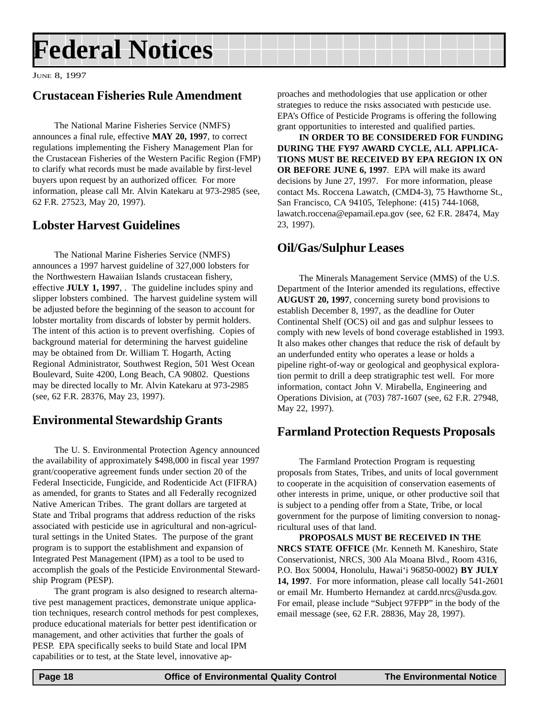## <span id="page-17-0"></span>**Federal Notices**

JUNE 8, 1997

### **Crustacean Fisheries Rule Amendment**

The National Marine Fisheries Service (NMFS) announces a final rule, effective **MAY 20, 1997**, to correct regulations implementing the Fishery Management Plan for the Crustacean Fisheries of the Western Pacific Region (FMP) to clarify what records must be made available by first-level buyers upon request by an authorized officer. For more information, please call Mr. Alvin Katekaru at 973-2985 (see, 62 F.R. 27523, May 20, 1997).

### **Lobster Harvest Guidelines**

The National Marine Fisheries Service (NMFS) announces a 1997 harvest guideline of 327,000 lobsters for the Northwestern Hawaiian Islands crustacean fishery, effective **JULY 1, 1997**, . The guideline includes spiny and slipper lobsters combined. The harvest guideline system will be adjusted before the beginning of the season to account for lobster mortality from discards of lobster by permit holders. The intent of this action is to prevent overfishing. Copies of background material for determining the harvest guideline may be obtained from Dr. William T. Hogarth, Acting Regional Administrator, Southwest Region, 501 West Ocean Boulevard, Suite 4200, Long Beach, CA 90802. Questions may be directed locally to Mr. Alvin Katekaru at 973-2985 (see, 62 F.R. 28376, May 23, 1997).

### **Environmental Stewardship Grants**

The U. S. Environmental Protection Agency announced the availability of approximately \$498,000 in fiscal year 1997 grant/cooperative agreement funds under section 20 of the Federal Insecticide, Fungicide, and Rodenticide Act (FIFRA) as amended, for grants to States and all Federally recognized Native American Tribes. The grant dollars are targeted at State and Tribal programs that address reduction of the risks associated with pesticide use in agricultural and non-agricultural settings in the United States. The purpose of the grant program is to support the establishment and expansion of Integrated Pest Management (IPM) as a tool to be used to accomplish the goals of the Pesticide Environmental Stewardship Program (PESP).

The grant program is also designed to research alternative pest management practices, demonstrate unique application techniques, research control methods for pest complexes, produce educational materials for better pest identification or management, and other activities that further the goals of PESP. EPA specifically seeks to build State and local IPM capabilities or to test, at the State level, innovative approaches and methodologies that use application or other strategies to reduce the risks associated with pesticide use. EPA's Office of Pesticide Programs is offering the following grant opportunities to interested and qualified parties.

**IN ORDER TO BE CONSIDERED FOR FUNDING DURING THE FY97 AWARD CYCLE, ALL APPLICA-TIONS MUST BE RECEIVED BY EPA REGION IX ON OR BEFORE JUNE 6, 1997**. EPA will make its award decisions by June 27, 1997. For more information, please contact Ms. Roccena Lawatch, (CMD4-3), 75 Hawthorne St., San Francisco, CA 94105, Telephone: (415) 744-1068, lawatch.roccena@epamail.epa.gov (see, 62 F.R. 28474, May 23, 1997).

### **Oil/Gas/Sulphur Leases**

The Minerals Management Service (MMS) of the U.S. Department of the Interior amended its regulations, effective **AUGUST 20, 1997**, concerning surety bond provisions to establish December 8, 1997, as the deadline for Outer Continental Shelf (OCS) oil and gas and sulphur lessees to comply with new levels of bond coverage established in 1993. It also makes other changes that reduce the risk of default by an underfunded entity who operates a lease or holds a pipeline right-of-way or geological and geophysical exploration permit to drill a deep stratigraphic test well. For more information, contact John V. Mirabella, Engineering and Operations Division, at (703) 787-1607 (see, 62 F.R. 27948, May 22, 1997).

### **Farmland Protection Requests Proposals**

The Farmland Protection Program is requesting proposals from States, Tribes, and units of local government to cooperate in the acquisition of conservation easements of other interests in prime, unique, or other productive soil that is subject to a pending offer from a State, Tribe, or local government for the purpose of limiting conversion to nonagricultural uses of that land.

**PROPOSALS MUST BE RECEIVED IN THE NRCS STATE OFFICE** (Mr. Kenneth M. Kaneshiro, State Conservationist, NRCS, 300 Ala Moana Blvd., Room 4316, P.O. Box 50004, Honolulu, Hawai'i 96850-0002) **BY JULY 14, 1997**. For more information, please call locally 541-2601 or email Mr. Humberto Hernandez at cardd.nrcs@usda.gov. For email, please include "Subject 97FPP" in the body of the email message (see, 62 F.R. 28836, May 28, 1997).